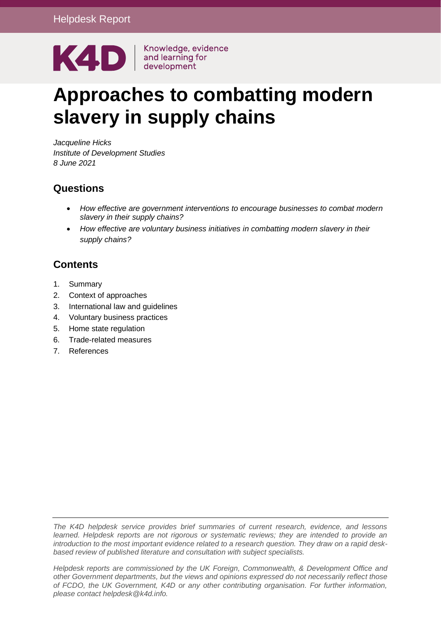

# **Approaches to combatting modern slavery in supply chains**

*Jacqueline Hicks Institute of Development Studies 8 June 2021*

## **Questions**

- *How effective are government interventions to encourage businesses to combat modern slavery in their supply chains?*
- *How effective are voluntary business initiatives in combatting modern slavery in their supply chains?*

## **Contents**

- 1. [Summary](#page-0-0)
- 2. Context of approaches
- 3. International law and guidelines
- 4. Voluntary business practices
- 5. Home state regulation
- 6. Trade-related measures
- <span id="page-0-0"></span>7. References

*The K4D helpdesk service provides brief summaries of current research, evidence, and lessons learned. Helpdesk reports are not rigorous or systematic reviews; they are intended to provide an introduction to the most important evidence related to a research question. They draw on a rapid deskbased review of published literature and consultation with subject specialists.* 

*Helpdesk reports are commissioned by the UK Foreign, Commonwealth, & Development Office and other Government departments, but the views and opinions expressed do not necessarily reflect those of FCDO, the UK Government, K4D or any other contributing organisation. For further information, please contact helpdesk@k4d.info.*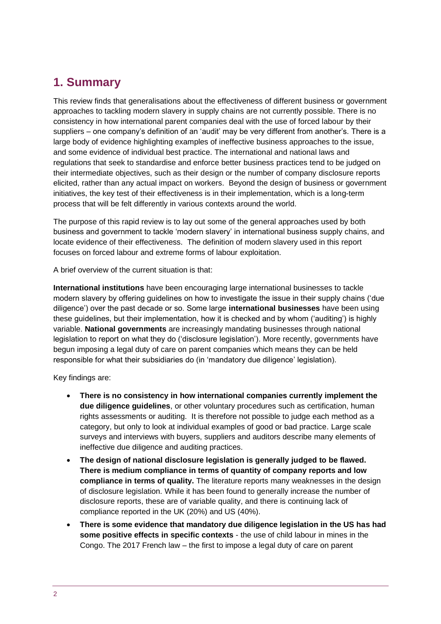# **1. Summary**

This review finds that generalisations about the effectiveness of different business or government approaches to tackling modern slavery in supply chains are not currently possible. There is no consistency in how international parent companies deal with the use of forced labour by their suppliers – one company's definition of an 'audit' may be very different from another's. There is a large body of evidence highlighting examples of ineffective business approaches to the issue, and some evidence of individual best practice. The international and national laws and regulations that seek to standardise and enforce better business practices tend to be judged on their intermediate objectives, such as their design or the number of company disclosure reports elicited, rather than any actual impact on workers. Beyond the design of business or government initiatives, the key test of their effectiveness is in their implementation, which is a long-term process that will be felt differently in various contexts around the world.

The purpose of this rapid review is to lay out some of the general approaches used by both business and government to tackle 'modern slavery' in international business supply chains, and locate evidence of their effectiveness. The definition of modern slavery used in this report focuses on forced labour and extreme forms of labour exploitation.

A brief overview of the current situation is that:

**International institutions** have been encouraging large international businesses to tackle modern slavery by offering guidelines on how to investigate the issue in their supply chains ('due diligence') over the past decade or so. Some large **international businesses** have been using these guidelines, but their implementation, how it is checked and by whom ('auditing') is highly variable. **National governments** are increasingly mandating businesses through national legislation to report on what they do ('disclosure legislation'). More recently, governments have begun imposing a legal duty of care on parent companies which means they can be held responsible for what their subsidiaries do (in 'mandatory due diligence' legislation).

Key findings are:

- **There is no consistency in how international companies currently implement the due diligence guidelines**, or other voluntary procedures such as certification, human rights assessments or auditing. It is therefore not possible to judge each method as a category, but only to look at individual examples of good or bad practice. Large scale surveys and interviews with buyers, suppliers and auditors describe many elements of ineffective due diligence and auditing practices.
- **The design of national disclosure legislation is generally judged to be flawed. There is medium compliance in terms of quantity of company reports and low compliance in terms of quality.** The literature reports many weaknesses in the design of disclosure legislation. While it has been found to generally increase the number of disclosure reports, these are of variable quality, and there is continuing lack of compliance reported in the UK (20%) and US (40%).
- **There is some evidence that mandatory due diligence legislation in the US has had some positive effects in specific contexts** - the use of child labour in mines in the Congo. The 2017 French law – the first to impose a legal duty of care on parent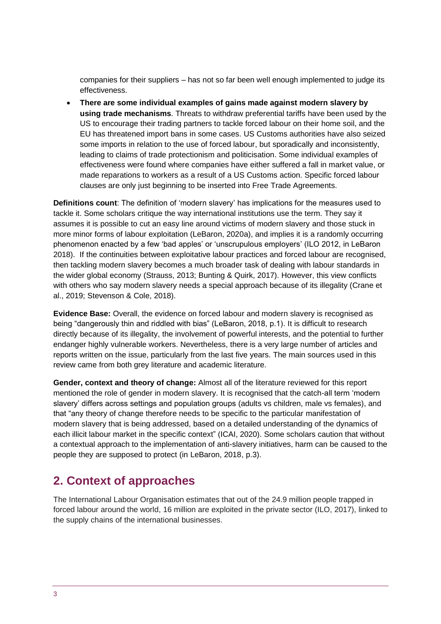companies for their suppliers – has not so far been well enough implemented to judge its effectiveness.

• **There are some individual examples of gains made against modern slavery by using trade mechanisms**. Threats to withdraw preferential tariffs have been used by the US to encourage their trading partners to tackle forced labour on their home soil, and the EU has threatened import bans in some cases. US Customs authorities have also seized some imports in relation to the use of forced labour, but sporadically and inconsistently, leading to claims of trade protectionism and politicisation. Some individual examples of effectiveness were found where companies have either suffered a fall in market value, or made reparations to workers as a result of a US Customs action. Specific forced labour clauses are only just beginning to be inserted into Free Trade Agreements.

**Definitions count**: The definition of 'modern slavery' has implications for the measures used to tackle it. Some scholars critique the way international institutions use the term. They say it assumes it is possible to cut an easy line around victims of modern slavery and those stuck in more minor forms of labour exploitation (LeBaron, 2020a), and implies it is a randomly occurring phenomenon enacted by a few 'bad apples' or 'unscrupulous employers' (ILO 2012, in LeBaron 2018). If the continuities between exploitative labour practices and forced labour are recognised, then tackling modern slavery becomes a much broader task of dealing with labour standards in the wider global economy [\(Strauss, 2013;](https://journals.sagepub.com/doi/full/10.1177/0007650320930417) Bunting & Quirk, 2017). However, this view conflicts with others who say modern slavery needs a special approach because of its illegality [\(Crane et](https://journals.sagepub.com/doi/full/10.1177/0007650320930417)  [al., 2019; Stevenson & Cole, 2018\)](https://journals.sagepub.com/doi/full/10.1177/0007650320930417).

**Evidence Base:** Overall, the evidence on forced labour and modern slavery is recognised as being "dangerously thin and riddled with bias" (LeBaron, 2018, p.1). It is difficult to research directly because of its illegality, the involvement of powerful interests, and the potential to further endanger highly vulnerable workers. Nevertheless, there is a very large number of articles and reports written on the issue, particularly from the last five years. The main sources used in this review came from both grey literature and academic literature.

**Gender, context and theory of change:** Almost all of the literature reviewed for this report mentioned the role of gender in modern slavery. It is recognised that the catch-all term 'modern slavery' differs across settings and population groups (adults vs children, male vs females), and that "any theory of change therefore needs to be specific to the particular manifestation of modern slavery that is being addressed, based on a detailed understanding of the dynamics of each illicit labour market in the specific context" (ICAI, 2020). Some scholars caution that without a contextual approach to the implementation of anti-slavery initiatives, harm can be caused to the people they are supposed to protect (in LeBaron, 2018, p.3).

# **2. Context of approaches**

The International Labour Organisation estimates that out of the 24.9 million people trapped in forced labour around the world, 16 million are exploited in the private sector (ILO, 2017), linked to the supply chains of the international businesses.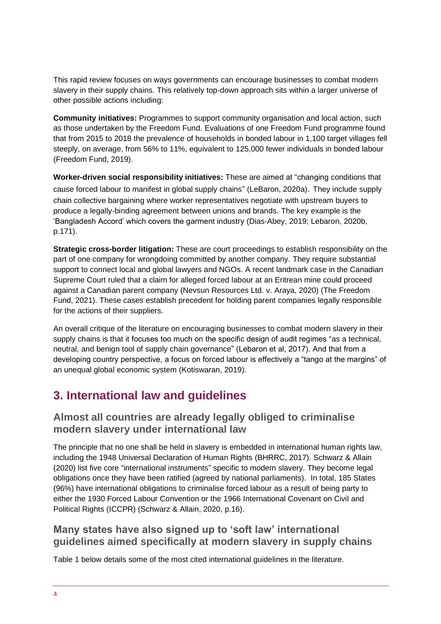This rapid review focuses on ways governments can encourage businesses to combat modern slavery in their supply chains. This relatively top-down approach sits within a larger universe of other possible actions including:

**Community initiatives:** Programmes to support community organisation and local action, such as those undertaken by the Freedom Fund. Evaluations of one Freedom Fund programme found that from 2015 to 2018 the prevalence of households in bonded labour in 1,100 target villages fell steeply, on average, from 56% to 11%, equivalent to 125,000 fewer individuals in bonded labour (Freedom Fund, 2019).

**Worker-driven social responsibility initiatives:** These are aimed at "changing conditions that cause forced labour to manifest in global supply chains" (LeBaron, 2020a). They include supply chain collective bargaining where worker representatives negotiate with upstream buyers to produce a legally-binding agreement between unions and brands. The key example is the 'Bangladesh Accord' which covers the garment industry (Dias-Abey, 2019; Lebaron, 2020b, p.171).

**Strategic cross-border litigation:** These are court proceedings to establish responsibility on the part of one company for wrongdoing committed by another company. They require substantial support to connect local and global lawyers and NGOs. A recent landmark case in the Canadian Supreme Court ruled that a claim for alleged forced labour at an Eritrean mine could proceed against a Canadian parent company (Nevsun Resources Ltd. v. Araya, 2020) (The Freedom Fund, 2021). These cases establish precedent for holding parent companies legally responsible for the actions of their suppliers.

An overall critique of the literature on encouraging businesses to combat modern slavery in their supply chains is that it focuses too much on the specific design of audit regimes "as a technical, neutral, and benign tool of supply chain governance" (Lebaron et al, 2017). And that from a developing country perspective, a focus on forced labour is effectively a "tango at the margins" of an unequal global economic system (Kotiswaran, 2019).

# **3. International law and guidelines**

## **Almost all countries are already legally obliged to criminalise modern slavery under international law**

The principle that no one shall be held in slavery is embedded in international human rights law, including the 1948 Universal Declaration of Human Rights (BHRRC, 2017). Schwarz & Allain (2020) list five core "international instruments" specific to modern slavery. They become legal obligations once they have been ratified (agreed by national parliaments). In total, 185 States (96%) have international obligations to criminalise forced labour as a result of being party to either the 1930 Forced Labour Convention or the 1966 International Covenant on Civil and Political Rights (ICCPR) (Schwarz & Allain, 2020, p.16).

## **Many states have also signed up to 'soft law' international guidelines aimed specifically at modern slavery in supply chains**

Table 1 below details some of the most cited international guidelines in the literature.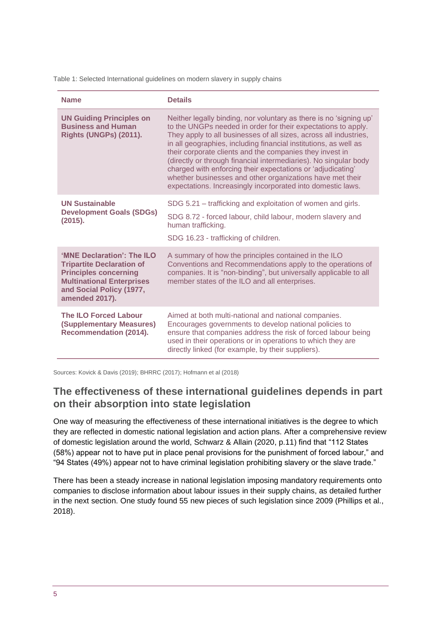Table 1: Selected International guidelines on modern slavery in supply chains

| <b>Name</b>                                                                                                                                                                      | <b>Details</b>                                                                                                                                                                                                                                                                                                                                                                                                                                                                                                                                                                                          |
|----------------------------------------------------------------------------------------------------------------------------------------------------------------------------------|---------------------------------------------------------------------------------------------------------------------------------------------------------------------------------------------------------------------------------------------------------------------------------------------------------------------------------------------------------------------------------------------------------------------------------------------------------------------------------------------------------------------------------------------------------------------------------------------------------|
| <b>UN Guiding Principles on</b><br><b>Business and Human</b><br>Rights (UNGPs) (2011).                                                                                           | Neither legally binding, nor voluntary as there is no 'signing up'<br>to the UNGPs needed in order for their expectations to apply.<br>They apply to all businesses of all sizes, across all industries,<br>in all geographies, including financial institutions, as well as<br>their corporate clients and the companies they invest in<br>(directly or through financial intermediaries). No singular body<br>charged with enforcing their expectations or 'adjudicating'<br>whether businesses and other organizations have met their<br>expectations. Increasingly incorporated into domestic laws. |
| <b>UN Sustainable</b><br><b>Development Goals (SDGs)</b><br>(2015).                                                                                                              | SDG 5.21 – trafficking and exploitation of women and girls.<br>SDG 8.72 - forced labour, child labour, modern slavery and<br>human trafficking.<br>SDG 16.23 - trafficking of children.                                                                                                                                                                                                                                                                                                                                                                                                                 |
| 'MNE Declaration': The ILO<br><b>Tripartite Declaration of</b><br><b>Principles concerning</b><br><b>Multinational Enterprises</b><br>and Social Policy (1977,<br>amended 2017). | A summary of how the principles contained in the ILO<br>Conventions and Recommendations apply to the operations of<br>companies. It is "non-binding", but universally applicable to all<br>member states of the ILO and all enterprises.                                                                                                                                                                                                                                                                                                                                                                |
| <b>The ILO Forced Labour</b><br>(Supplementary Measures)<br><b>Recommendation (2014).</b>                                                                                        | Aimed at both multi-national and national companies.<br>Encourages governments to develop national policies to<br>ensure that companies address the risk of forced labour being<br>used in their operations or in operations to which they are<br>directly linked (for example, by their suppliers).                                                                                                                                                                                                                                                                                                    |

Sources: Kovick & Davis (2019); BHRRC (2017); Hofmann et al (2018)

#### **The effectiveness of these international guidelines depends in part on their absorption into state legislation**

One way of measuring the effectiveness of these international initiatives is the degree to which they are reflected in domestic national legislation and action plans. After a comprehensive review of domestic legislation around the world, Schwarz & Allain (2020, p.11) find that "112 States (58%) appear not to have put in place penal provisions for the punishment of forced labour," and "94 States (49%) appear not to have criminal legislation prohibiting slavery or the slave trade."

There has been a steady increase in national legislation imposing mandatory requirements onto companies to disclose information about labour issues in their supply chains, as detailed further in the next section. One study found 55 new pieces of such legislation since 2009 [\(Phillips](javascript:;) et al., [2018](javascript:;)).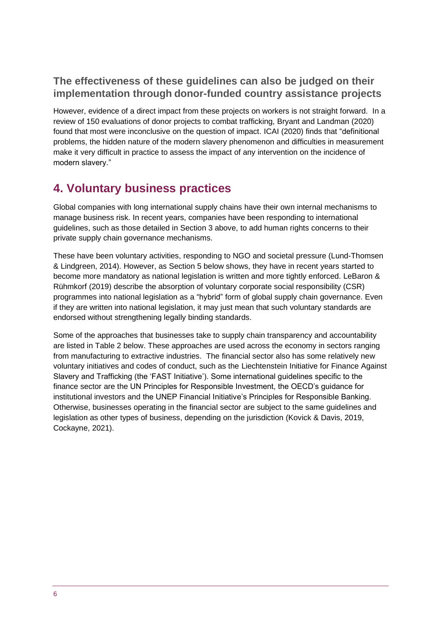## **The effectiveness of these guidelines can also be judged on their implementation through donor-funded country assistance projects**

However, evidence of a direct impact from these projects on workers is not straight forward. In a review of 150 evaluations of donor projects to combat trafficking, Bryant and Landman (2020) found that most were inconclusive on the question of impact. ICAI (2020) finds that "definitional problems, the hidden nature of the modern slavery phenomenon and difficulties in measurement make it very difficult in practice to assess the impact of any intervention on the incidence of modern slavery."

# **4. Voluntary business practices**

Global companies with long international supply chains have their own internal mechanisms to manage business risk. In recent years, companies have been responding to international guidelines, such as those detailed in Section 3 above, to add human rights concerns to their private supply chain governance mechanisms.

These have been voluntary activities, responding to NGO and societal pressure (Lund-Thomsen & Lindgreen, 2014). However, as Section 5 below shows, they have in recent years started to become more mandatory as national legislation is written and more tightly enforced. LeBaron & Rühmkorf (2019) describe the absorption of voluntary corporate social responsibility (CSR) programmes into national legislation as a "hybrid" form of global supply chain governance. Even if they are written into national legislation, it may just mean that such voluntary standards are endorsed without strengthening legally binding standards.

Some of the approaches that businesses take to supply chain transparency and accountability are listed in Table 2 below. These approaches are used across the economy in sectors ranging from manufacturing to extractive industries. The financial sector also has some relatively new voluntary initiatives and codes of conduct, such as the Liechtenstein Initiative for Finance Against Slavery and Trafficking (the 'FAST Initiative'). Some international guidelines specific to the finance sector are the UN Principles for Responsible Investment, the OECD's guidance for institutional investors and the UNEP Financial Initiative's Principles for Responsible Banking. Otherwise, businesses operating in the financial sector are subject to the same guidelines and legislation as other types of business, depending on the jurisdiction (Kovick & Davis, 2019, Cockayne, 2021).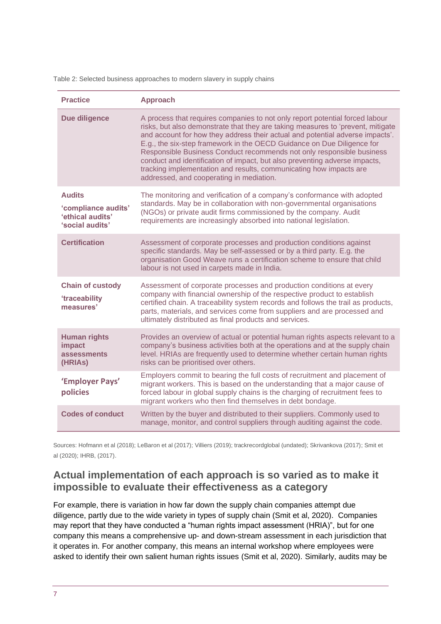Table 2: Selected business approaches to modern slavery in supply chains

| <b>Practice</b>                                                             | <b>Approach</b>                                                                                                                                                                                                                                                                                                                                                                                                                                                                                                                                                                                     |
|-----------------------------------------------------------------------------|-----------------------------------------------------------------------------------------------------------------------------------------------------------------------------------------------------------------------------------------------------------------------------------------------------------------------------------------------------------------------------------------------------------------------------------------------------------------------------------------------------------------------------------------------------------------------------------------------------|
| Due diligence                                                               | A process that requires companies to not only report potential forced labour<br>risks, but also demonstrate that they are taking measures to 'prevent, mitigate<br>and account for how they address their actual and potential adverse impacts'.<br>E.g., the six-step framework in the OECD Guidance on Due Diligence for<br>Responsible Business Conduct recommends not only responsible business<br>conduct and identification of impact, but also preventing adverse impacts,<br>tracking implementation and results, communicating how impacts are<br>addressed, and cooperating in mediation. |
| <b>Audits</b><br>'compliance audits'<br>'ethical audits'<br>'social audits' | The monitoring and verification of a company's conformance with adopted<br>standards. May be in collaboration with non-governmental organisations<br>(NGOs) or private audit firms commissioned by the company. Audit<br>requirements are increasingly absorbed into national legislation.                                                                                                                                                                                                                                                                                                          |
| <b>Certification</b>                                                        | Assessment of corporate processes and production conditions against<br>specific standards. May be self-assessed or by a third party. E.g. the<br>organisation Good Weave runs a certification scheme to ensure that child<br>labour is not used in carpets made in India.                                                                                                                                                                                                                                                                                                                           |
| <b>Chain of custody</b><br><b>'traceability</b><br>measures'                | Assessment of corporate processes and production conditions at every<br>company with financial ownership of the respective product to establish<br>certified chain. A traceability system records and follows the trail as products,<br>parts, materials, and services come from suppliers and are processed and<br>ultimately distributed as final products and services.                                                                                                                                                                                                                          |
| <b>Human rights</b><br>impact<br>assessments<br>(HRIAS)                     | Provides an overview of actual or potential human rights aspects relevant to a<br>company's business activities both at the operations and at the supply chain<br>level. HRIAs are frequently used to determine whether certain human rights<br>risks can be prioritised over others.                                                                                                                                                                                                                                                                                                               |
| 'Employer Pays'<br>policies                                                 | Employers commit to bearing the full costs of recruitment and placement of<br>migrant workers. This is based on the understanding that a major cause of<br>forced labour in global supply chains is the charging of recruitment fees to<br>migrant workers who then find themselves in debt bondage.                                                                                                                                                                                                                                                                                                |
| <b>Codes of conduct</b>                                                     | Written by the buyer and distributed to their suppliers. Commonly used to<br>manage, monitor, and control suppliers through auditing against the code.                                                                                                                                                                                                                                                                                                                                                                                                                                              |

Sources: Hofmann et al (2018); LeBaron et al (2017); Villiers (2019); trackrecordglobal (undated); Skrivankova (2017); Smit et al (2020); IHRB, (2017).

## **Actual implementation of each approach is so varied as to make it impossible to evaluate their effectiveness as a category**

For example, there is variation in how far down the supply chain companies attempt due diligence, partly due to the wide variety in types of supply chain (Smit et al, 2020). Companies may report that they have conducted a "human rights impact assessment (HRIA)", but for one company this means a comprehensive up- and down-stream assessment in each jurisdiction that it operates in. For another company, this means an internal workshop where employees were asked to identify their own salient human rights issues (Smit et al, 2020). Similarly, audits may be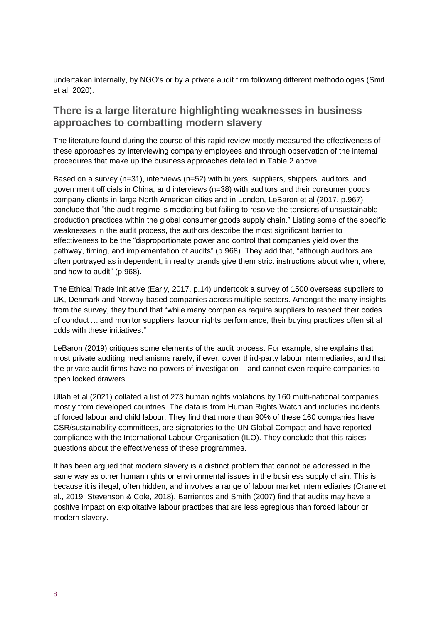undertaken internally, by NGO's or by a private audit firm following different methodologies (Smit et al, 2020).

#### **There is a large literature highlighting weaknesses in business approaches to combatting modern slavery**

The literature found during the course of this rapid review mostly measured the effectiveness of these approaches by interviewing company employees and through observation of the internal procedures that make up the business approaches detailed in Table 2 above.

Based on a survey (n=31), interviews (n=52) with buyers, suppliers, shippers, auditors, and government officials in China, and interviews (n=38) with auditors and their consumer goods company clients in large North American cities and in London, LeBaron et al (2017, p.967) conclude that "the audit regime is mediating but failing to resolve the tensions of unsustainable production practices within the global consumer goods supply chain." Listing some of the specific weaknesses in the audit process, the authors describe the most significant barrier to effectiveness to be the "disproportionate power and control that companies yield over the pathway, timing, and implementation of audits" (p.968). They add that, "although auditors are often portrayed as independent, in reality brands give them strict instructions about when, where, and how to audit" (p.968).

The Ethical Trade Initiative (Early, 2017, p.14) undertook a survey of 1500 overseas suppliers to UK, Denmark and Norway-based companies across multiple sectors. Amongst the many insights from the survey, they found that "while many companies require suppliers to respect their codes of conduct … and monitor suppliers' labour rights performance, their buying practices often sit at odds with these initiatives."

LeBaron (2019) critiques some elements of the audit process. For example, she explains that most private auditing mechanisms rarely, if ever, cover third-party labour intermediaries, and that the private audit firms have no powers of investigation – and cannot even require companies to open locked drawers.

Ullah et al (2021) collated a list of 273 human rights violations by 160 multi-national companies mostly from developed countries. The data is from Human Rights Watch and includes incidents of forced labour and child labour. They find that more than 90% of these 160 companies have CSR/sustainability committees, are signatories to the UN Global Compact and have reported compliance with the International Labour Organisation (ILO). They conclude that this raises questions about the effectiveness of these programmes.

It has been argued that modern slavery is a distinct problem that cannot be addressed in the same way as other human rights or environmental issues in the business supply chain. This is because it is illegal, often hidden, and involves a range of labour market intermediaries [\(Crane et](https://journals.sagepub.com/doi/full/10.1177/0007650320930417)  [al., 2019; Stevenson & Cole, 2018\)](https://journals.sagepub.com/doi/full/10.1177/0007650320930417). Barrientos and Smith [\(2007\)](https://www.tandfonline.com/doi/full/10.1080/09537287.2020.1795290?src=recsys) find that audits may have a positive impact on exploitative labour practices that are less egregious than forced labour or modern slavery.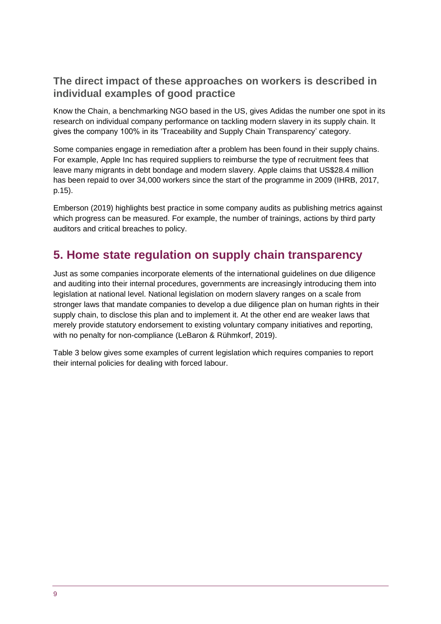## **The direct impact of these approaches on workers is described in individual examples of good practice**

[Know the Chain,](https://knowthechain.org/) a benchmarking NGO based in the US, gives Adidas the number one spot in its research on individual company performance on tackling modern slavery in its supply chain. It gives the company 100% in its 'Traceability and Supply Chain Transparency' category.

Some companies engage in remediation after a problem has been found in their supply chains. For example, Apple Inc has required suppliers to reimburse the type of recruitment fees that leave many migrants in debt bondage and modern slavery. Apple claims that US\$28.4 million has been repaid to over 34,000 workers since the start of the programme in 2009 (IHRB, 2017, p.15).

Emberson (2019) highlights best practice in some company audits as publishing metrics against which progress can be measured. For example, the number of trainings, actions by third party auditors and critical breaches to policy.

# **5. Home state regulation on supply chain transparency**

Just as some companies incorporate elements of the international guidelines on due diligence and auditing into their internal procedures, governments are increasingly introducing them into legislation at national level. National legislation on modern slavery ranges on a scale from stronger laws that mandate companies to develop a due diligence plan on human rights in their supply chain, to disclose this plan and to implement it. At the other end are weaker laws that merely provide statutory endorsement to existing voluntary company initiatives and reporting, with no penalty for non-compliance (LeBaron & Rühmkorf, 2019).

Table 3 below gives some examples of current legislation which requires companies to report their internal policies for dealing with forced labour.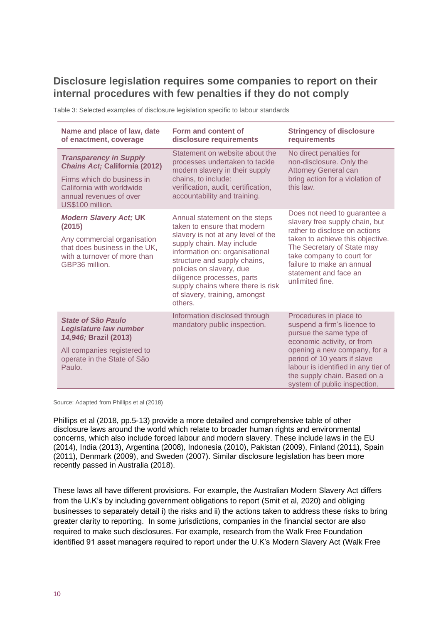## **Disclosure legislation requires some companies to report on their internal procedures with few penalties if they do not comply**

| Name and place of law, date<br>of enactment, coverage                                                                                                                           | Form and content of<br>disclosure requirements                                                                                                                                                                                                                                                                                               | <b>Stringency of disclosure</b><br>requirements                                                                                                                                                                                                                                      |
|---------------------------------------------------------------------------------------------------------------------------------------------------------------------------------|----------------------------------------------------------------------------------------------------------------------------------------------------------------------------------------------------------------------------------------------------------------------------------------------------------------------------------------------|--------------------------------------------------------------------------------------------------------------------------------------------------------------------------------------------------------------------------------------------------------------------------------------|
| <b>Transparency in Supply</b><br><b>Chains Act; California (2012)</b><br>Firms which do business in<br>California with worldwide<br>annual revenues of over<br>US\$100 million. | Statement on website about the<br>processes undertaken to tackle<br>modern slavery in their supply<br>chains, to include:<br>verification, audit, certification,<br>accountability and training.                                                                                                                                             | No direct penalties for<br>non-disclosure. Only the<br><b>Attorney General can</b><br>bring action for a violation of<br>this law.                                                                                                                                                   |
| <b>Modern Slavery Act; UK</b><br>(2015)<br>Any commercial organisation<br>that does business in the UK,<br>with a turnover of more than<br>GBP36 million.                       | Annual statement on the steps<br>taken to ensure that modern<br>slavery is not at any level of the<br>supply chain. May include<br>information on: organisational<br>structure and supply chains,<br>policies on slavery, due<br>diligence processes, parts<br>supply chains where there is risk<br>of slavery, training, amongst<br>others. | Does not need to guarantee a<br>slavery free supply chain, but<br>rather to disclose on actions<br>taken to achieve this objective.<br>The Secretary of State may<br>take company to court for<br>failure to make an annual<br>statement and face an<br>unlimited fine.              |
| State of São Paulo<br>Legislature law number<br>14,946; Brazil (2013)<br>All companies registered to<br>operate in the State of São<br>Paulo.                                   | Information disclosed through<br>mandatory public inspection.                                                                                                                                                                                                                                                                                | Procedures in place to<br>suspend a firm's licence to<br>pursue the same type of<br>economic activity, or from<br>opening a new company, for a<br>period of 10 years if slave<br>labour is identified in any tier of<br>the supply chain. Based on a<br>system of public inspection. |

Table 3: Selected examples of disclosure legislation specific to labour standards

Source: Adapted from Phillips et al (2018)

Phillips et al (2018, pp.5-13) provide a more detailed and comprehensive table of other disclosure laws around the world which relate to broader human rights and environmental concerns, which also include forced labour and modern slavery. These include laws in the EU (2014), India (2013), Argentina (2008), Indonesia (2010), Pakistan (2009), Finland (2011), Spain (2011), Denmark (2009), and Sweden (2007). Similar disclosure legislation has been more recently passed in Australia (2018).

These laws all have different provisions. For example, the Australian Modern Slavery Act differs from the U.K's by including government obligations to report (Smit et al, 2020) and obliging businesses to separately detail i) the risks and ii) the actions taken to address these risks to bring greater clarity to reporting. In some jurisdictions, companies in the financial sector are also required to make such disclosures. For example, research from the Walk Free Foundation identified 91 asset managers required to report under the U.K's Modern Slavery Act (Walk Free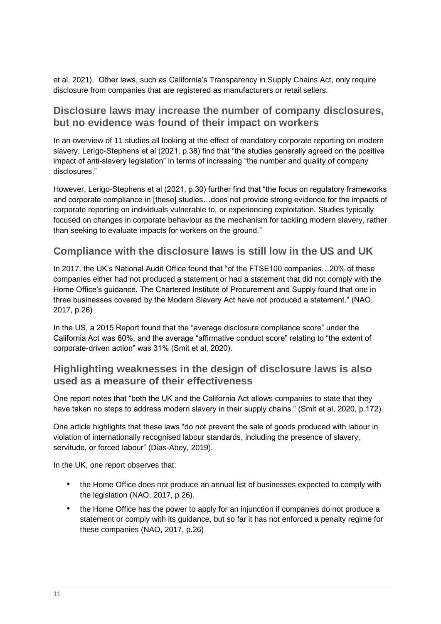et al, 2021). Other laws, such as California's Transparency in Supply Chains Act, only require disclosure from companies that are registered as manufacturers or retail sellers.

#### **Disclosure laws may increase the number of company disclosures, but no evidence was found of their impact on workers**

In an overview of 11 studies all looking at the effect of mandatory corporate reporting on modern slavery, Lerigo-Stephens et al (2021, p.38) find that "the studies generally agreed on the positive impact of anti-slavery legislation" in terms of increasing "the number and quality of company disclosures."

However, Lerigo-Stephens et al (2021, p.30) further find that "the focus on regulatory frameworks and corporate compliance in [these] studies...does not provide strong evidence for the impacts of corporate reporting on individuals vulnerable to, or experiencing exploitation. Studies typically focused on changes in corporate behaviour as the mechanism for tackling modern slavery, rather than seeking to evaluate impacts for workers on the ground."

#### **Compliance with the disclosure laws is still low in the US and UK**

In 2017, the UK's National Audit Office found that "of the FTSE100 companies…20% of these companies either had not produced a statement or had a statement that did not comply with the Home Office's guidance. The Chartered Institute of Procurement and Supply found that one in three businesses covered by the Modern Slavery Act have not produced a statement." (NAO, 2017, p.26)

In the US, a 2015 Report found that the "average disclosure compliance score" under the California Act was 60%, and the average "affirmative conduct score" relating to "the extent of corporate-driven action" was 31% (Smit et al, 2020).

#### **Highlighting weaknesses in the design of disclosure laws is also used as a measure of their effectiveness**

One report notes that "both the UK and the California Act allows companies to state that they have taken no steps to address modern slavery in their supply chains." (Smit et al, 2020, p.172).

One article highlights that these laws "do not prevent the sale of goods produced with labour in violation of internationally recognised labour standards, including the presence of slavery, servitude, or forced labour" (Dias-Abey, 2019).

In the UK, one report observes that:

- the Home Office does not produce an annual list of businesses expected to comply with the legislation (NAO, 2017, p.26).
- the Home Office has the power to apply for an injunction if companies do not produce a statement or comply with its guidance, but so far it has not enforced a penalty regime for these companies (NAO, 2017, p.26)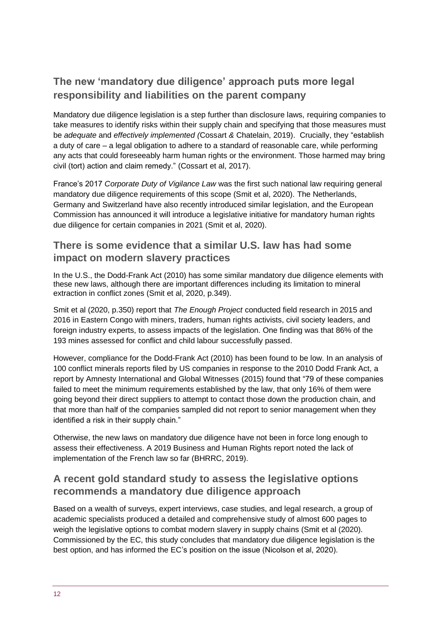## **The new 'mandatory due diligence' approach puts more legal responsibility and liabilities on the parent company**

Mandatory due diligence legislation is a step further than disclosure laws, requiring companies to take measures to identify risks within their supply chain and specifying that those measures must be *adequate* and *effectively implemented (*Cossart *&* Chatelain, 2019). Crucially, they "establish a duty of care – a legal obligation to adhere to a standard of reasonable care, while performing any acts that could foreseeably harm human rights or the environment. Those harmed may bring civil (tort) action and claim remedy." (Cossart et al, 2017).

France's 2017 *Corporate Duty of Vigilance Law* was the first such national law requiring general mandatory due diligence requirements of this scope (Smit et al, 2020). The Netherlands, Germany and Switzerland have also recently introduced similar legislation, and the European Commission has announced it will introduce a legislative initiative for mandatory human rights due diligence for certain companies in 2021 (Smit et al, 2020).

#### **There is some evidence that a similar U.S. law has had some impact on modern slavery practices**

In the U.S., the Dodd-Frank Act (2010) has some similar mandatory due diligence elements with these new laws, although there are important differences including its limitation to mineral extraction in conflict zones (Smit et al, 2020, p.349).

Smit et al (2020, p.350) report that *The Enough Project* conducted field research in 2015 and 2016 in Eastern Congo with miners, traders, human rights activists, civil society leaders, and foreign industry experts, to assess impacts of the legislation. One finding was that 86% of the 193 mines assessed for conflict and child labour successfully passed.

However, compliance for the Dodd-Frank Act (2010) has been found to be low. In an analysis of 100 conflict minerals reports filed by US companies in response to the 2010 Dodd Frank Act, a report by Amnesty International and Global Witnesses (2015) found that "79 of these companies failed to meet the minimum requirements established by the law, that only 16% of them were going beyond their direct suppliers to attempt to contact those down the production chain, and that more than half of the companies sampled did not report to senior management when they identified a risk in their supply chain."

Otherwise, the new laws on mandatory due diligence have not been in force long enough to assess their effectiveness. A 2019 Business and Human Rights report noted the lack of implementation of the French law so far (BHRRC, 2019).

#### **A recent gold standard study to assess the legislative options recommends a mandatory due diligence approach**

Based on a wealth of surveys, expert interviews, case studies, and legal research, a group of academic specialists produced a detailed and comprehensive study of almost 600 pages to weigh the legislative options to combat modern slavery in supply chains (Smit et al (2020). Commissioned by the EC, this study concludes that mandatory due diligence legislation is the best option, and has informed the EC's position on the issue (Nicolson et al, 2020).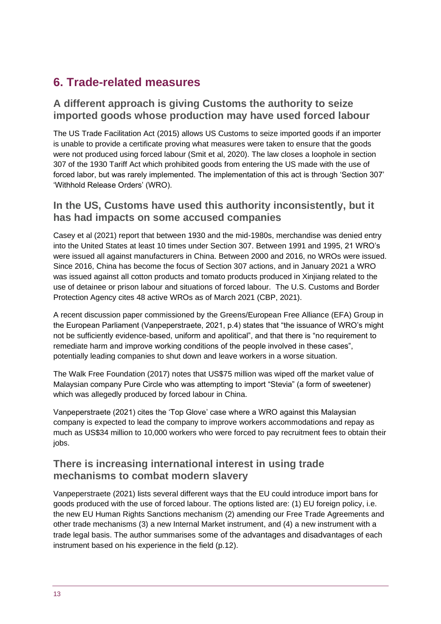# **6. Trade-related measures**

#### **A different approach is giving Customs the authority to seize imported goods whose production may have used forced labour**

The US Trade Facilitation Act (2015) allows US Customs to seize imported goods if an importer is unable to provide a certificate proving what measures were taken to ensure that the goods were not produced using forced labour (Smit et al, 2020). The law closes a loophole in section 307 of the 1930 Tariff Act which prohibited goods from entering the US made with the use of forced labor, but was rarely implemented. The implementation of this act is through 'Section 307' 'Withhold Release Orders' (WRO).

#### **In the US, Customs have used this authority inconsistently, but it has had impacts on some accused companies**

Casey et al (2021) report that between 1930 and the mid-1980s, merchandise was denied entry into the United States at least 10 times under Section 307. Between 1991 and 1995, 21 WRO's were issued all against manufacturers in China. Between 2000 and 2016, no WROs were issued. Since 2016, China has become the focus of Section 307 actions, and in January 2021 a WRO was issued against all cotton products and tomato products produced in Xinjiang related to the use of detainee or prison labour and situations of forced labour. The U.S. Customs and Border Protection Agency cites 48 active WROs as of March 2021 (CBP, 2021).

A recent discussion paper commissioned by the Greens/European Free Alliance (EFA) Group in the European Parliament (Vanpeperstraete, 2021, p.4) states that "the issuance of WRO's might not be sufficiently evidence-based, uniform and apolitical", and that there is "no requirement to remediate harm and improve working conditions of the people involved in these cases", potentially leading companies to shut down and leave workers in a worse situation.

The Walk Free Foundation (2017) notes that US\$75 million was wiped off the market value of Malaysian company Pure Circle who was attempting to import "Stevia" (a form of sweetener) which was allegedly produced by forced labour in China.

Vanpeperstraete (2021) cites the 'Top Glove' case where a WRO against this Malaysian company is expected to lead the company to improve workers accommodations and repay as much as US\$34 million to 10,000 workers who were forced to pay recruitment fees to obtain their iobs.

#### **There is increasing international interest in using trade mechanisms to combat modern slavery**

Vanpeperstraete (2021) lists several different ways that the EU could introduce import bans for goods produced with the use of forced labour. The options listed are: (1) EU foreign policy, i.e. the new EU Human Rights Sanctions mechanism (2) amending our Free Trade Agreements and other trade mechanisms (3) a new Internal Market instrument, and (4) a new instrument with a trade legal basis. The author summarises some of the advantages and disadvantages of each instrument based on his experience in the field (p.12).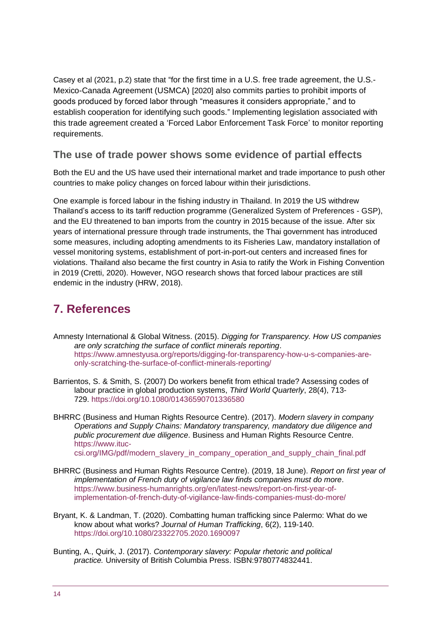Casey et al (2021, p.2) state that "for the first time in a U.S. free trade agreement, the U.S.- Mexico-Canada Agreement (USMCA) [2020] also commits parties to prohibit imports of goods produced by forced labor through "measures it considers appropriate," and to establish cooperation for identifying such goods." Implementing legislation associated with this trade agreement created a 'Forced Labor Enforcement Task Force' to monitor reporting requirements.

#### **The use of trade power shows some evidence of partial effects**

Both the EU and the US have used their international market and trade importance to push other countries to make policy changes on forced labour within their jurisdictions.

One example is forced labour in the fishing industry in Thailand. In 2019 the US withdrew Thailand's access to its tariff reduction programme (Generalized System of Preferences - GSP), and the EU threatened to ban imports from the country in 2015 because of the issue. After six years of international pressure through trade instruments, the Thai government has introduced some measures, including adopting amendments to its Fisheries Law, mandatory installation of vessel monitoring systems, establishment of port-in-port-out centers and increased fines for violations. Thailand also became the first country in Asia to ratify the Work in Fishing Convention in 2019 (Cretti, 2020). However, NGO research shows that forced labour practices are still endemic in the industry (HRW, 2018).

# **7. References**

- Amnesty International & Global Witness. (2015). *Digging for Transparency. How US companies are only scratching the surface of conflict minerals reporting*. https://www.amnestyusa.org/reports/digging-for-transparency-how-u-s-companies-areonly-scratching-the-surface-of-conflict-minerals-reporting/
- Barrientos, S. & Smith, S. (2007) Do workers benefit from ethical trade? Assessing codes of labour practice in global production systems, *Third World Quarterly*, 28(4), 713- 729. https://doi.org[/10.1080/01436590701336580](https://doi.org/10.1080/01436590701336580)
- BHRRC (Business and Human Rights Resource Centre). (2017). *Modern slavery in company Operations and Supply Chains: Mandatory transparency, mandatory due diligence and public procurement due diligence*. Business and Human Rights Resource Centre. [https://www.ituc](https://www.ituc-csi.org/IMG/pdf/modern_slavery_in_company_operation_and_supply_chain_final.pdf)[csi.org/IMG/pdf/modern\\_slavery\\_in\\_company\\_operation\\_and\\_supply\\_chain\\_final.pdf](https://www.ituc-csi.org/IMG/pdf/modern_slavery_in_company_operation_and_supply_chain_final.pdf)
- BHRRC (Business and Human Rights Resource Centre). (2019, 18 June). *Report on first year of implementation of French duty of vigilance law finds companies must do more*. [https://www.business-humanrights.org/en/latest-news/report-on-first-year-of](https://www.business-humanrights.org/en/latest-news/report-on-first-year-of-implementation-of-french-duty-of-vigilance-law-finds-companies-must-do-more/)[implementation-of-french-duty-of-vigilance-law-finds-companies-must-do-more/](https://www.business-humanrights.org/en/latest-news/report-on-first-year-of-implementation-of-french-duty-of-vigilance-law-finds-companies-must-do-more/)
- Bryant, K. & Landman, T. (2020). Combatting human trafficking since Palermo: What do we know about what works? *Journal of Human Trafficking*, 6(2), 119-140. <https://doi.org/10.1080/23322705.2020.1690097>
- Bunting, A., Quirk, J. (2017). *Contemporary slavery: Popular rhetoric and political practice.* University of British Columbia Press. ISBN:9780774832441.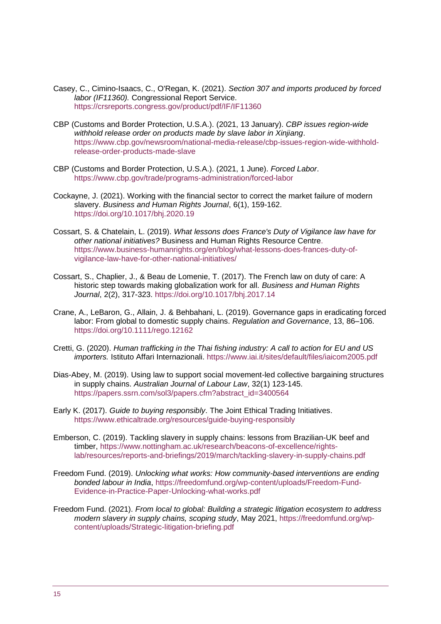- Casey, C., Cimino-Isaacs, C., O'Regan, K. (2021). *Section 307 and imports produced by forced labor (IF11360).* Congressional Report Service. <https://crsreports.congress.gov/product/pdf/IF/IF11360>
- CBP (Customs and Border Protection, U.S.A.). (2021, 13 January). *CBP issues region-wide withhold release order on products made by slave labor in Xinjiang*. [https://www.cbp.gov/newsroom/national-media-release/cbp-issues-region-wide-withhold](https://www.cbp.gov/newsroom/national-media-release/cbp-issues-region-wide-withhold-release-order-products-made-slave)[release-order-products-made-slave](https://www.cbp.gov/newsroom/national-media-release/cbp-issues-region-wide-withhold-release-order-products-made-slave)
- CBP (Customs and Border Protection, U.S.A.). (2021, 1 June). *Forced Labor*. <https://www.cbp.gov/trade/programs-administration/forced-labor>
- Cockayne, J. (2021). Working with the financial sector to correct the market failure of modern slavery. *Business and Human Rights Journal*, 6(1), 159-162. https://doi.org/10.1017/bhj.2020.19
- Cossart, S. & Chatelain, L. (2019). *What lessons does France's Duty of Vigilance law have for other national initiatives?* Business and Human Rights Resource Centre. [https://www.business-humanrights.org/en/blog/what-lessons-does-frances-duty-of](https://www.business-humanrights.org/en/blog/what-lessons-does-frances-duty-of-vigilance-law-have-for-other-national-initiatives/)[vigilance-law-have-for-other-national-initiatives/](https://www.business-humanrights.org/en/blog/what-lessons-does-frances-duty-of-vigilance-law-have-for-other-national-initiatives/)
- Cossart, S., Chaplier, J., & Beau de Lomenie, T. (2017). The French law on duty of care: A historic step towards making globalization work for all. *Business and Human Rights Journal*, 2(2), 317-323. https://doi.org/10.1017/bhj.2017.14
- Crane, A., LeBaron, G., Allain, J. & Behbahani, L. (2019). Governance gaps in eradicating forced labor: From global to domestic supply chains. *Regulation and Governance*, 13, 86–106. <https://doi.org/10.1111/rego.12162>
- Cretti, G. (2020). *Human trafficking in the Thai fishing industry: A call to action for EU and US importers.* Istituto Affari Internazionali.<https://www.iai.it/sites/default/files/iaicom2005.pdf>
- Dias-Abey, M. (2019). Using law to support social movement-led collective bargaining structures in supply chains. *Australian Journal of Labour Law*, 32(1) 123-145. [https://papers.ssrn.com/sol3/papers.cfm?abstract\\_id=3400564](https://papers.ssrn.com/sol3/papers.cfm?abstract_id=3400564)
- Early K. (2017). *Guide to buying responsibly*. The Joint Ethical Trading Initiatives. <https://www.ethicaltrade.org/resources/guide-buying-responsibly>
- Emberson, C. (2019). Tackling slavery in supply chains: lessons from Brazilian-UK beef and timber, [https://www.nottingham.ac.uk/research/beacons-of-excellence/rights](https://www.nottingham.ac.uk/research/beacons-of-excellence/rights-lab/resources/reports-and-briefings/2019/march/tackling-slavery-in-supply-chains.pdf)[lab/resources/reports-and-briefings/2019/march/tackling-slavery-in-supply-chains.pdf](https://www.nottingham.ac.uk/research/beacons-of-excellence/rights-lab/resources/reports-and-briefings/2019/march/tackling-slavery-in-supply-chains.pdf)
- Freedom Fund. (2019). *Unlocking what works: How community-based interventions are ending bonded labour in India*, [https://freedomfund.org/wp-content/uploads/Freedom-Fund-](https://freedomfund.org/wp-content/uploads/Freedom-Fund-Evidence-in-Practice-Paper-Unlocking-what-works.pdf)[Evidence-in-Practice-Paper-Unlocking-what-works.pdf](https://freedomfund.org/wp-content/uploads/Freedom-Fund-Evidence-in-Practice-Paper-Unlocking-what-works.pdf)
- Freedom Fund. (2021). *From local to global: Building a strategic litigation ecosystem to address modern slavery in supply chains, scoping study*, May 2021, [https://freedomfund.org/wp](https://freedomfund.org/wp-content/uploads/Strategic-litigation-briefing.pdf)[content/uploads/Strategic-litigation-briefing.pdf](https://freedomfund.org/wp-content/uploads/Strategic-litigation-briefing.pdf)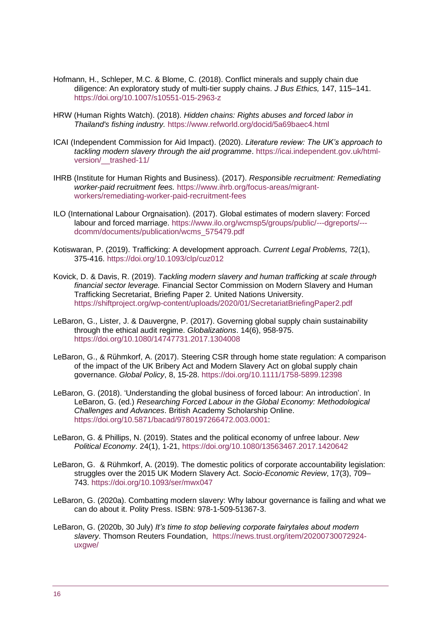- Hofmann, H., Schleper, M.C. & Blome, C. (2018). Conflict minerals and supply chain due diligence: An exploratory study of multi-tier supply chains. *J Bus Ethics,* 147, 115–141. <https://doi.org/10.1007/s10551-015-2963-z>
- HRW (Human Rights Watch). (2018). *Hidden chains: Rights abuses and forced labor in Thailand's fishing industry.* <https://www.refworld.org/docid/5a69baec4.html>
- ICAI (Independent Commission for Aid Impact). (2020). *Literature review: The UK's approach to tackling modern slavery through the aid programme*. [https://icai.independent.gov.uk/html](https://icai.independent.gov.uk/html-version/__trashed-11/)[version/\\_\\_trashed-11/](https://icai.independent.gov.uk/html-version/__trashed-11/)
- IHRB (Institute for Human Rights and Business). (2017). *Responsible recruitment: Remediating worker-paid recruitment fees.* [https://www.ihrb.org/focus-areas/migrant](https://www.ihrb.org/focus-areas/migrant-workers/remediating-worker-paid-recruitment-fees)[workers/remediating-worker-paid-recruitment-fees](https://www.ihrb.org/focus-areas/migrant-workers/remediating-worker-paid-recruitment-fees)
- ILO (International Labour Orgnaisation). (2017). Global estimates of modern slavery: Forced labour and forced marriage. [https://www.ilo.org/wcmsp5/groups/public/---dgreports/--](https://www.ilo.org/wcmsp5/groups/public/---dgreports/---dcomm/documents/publication/wcms_575479.pdf) [dcomm/documents/publication/wcms\\_575479.pdf](https://www.ilo.org/wcmsp5/groups/public/---dgreports/---dcomm/documents/publication/wcms_575479.pdf)
- [Kotiswaran,](https://www.researchgate.net/scientific-contributions/Prabha-Kotiswaran-2181611958) P. (2019). Trafficking: A development approach. *[Current Legal Problems,](https://www.researchgate.net/journal/Current-Legal-Problems-0070-1998)* 72(1), 375-416. https://doi.org[/10.1093/clp/cuz012](http://dx.doi.org/10.1093/clp/cuz012)
- Kovick, D. & Davis, R. (2019). *Tackling modern slavery and human trafficking at scale through financial sector leverage.* Financial Sector Commission on Modern Slavery and Human Trafficking Secretariat, Briefing Paper 2. United Nations University. <https://shiftproject.org/wp-content/uploads/2020/01/SecretariatBriefingPaper2.pdf>
- LeBaron, G., Lister, J. & Dauvergne, P. (2017). Governing global supply chain sustainability through the ethical audit regime. *Globalizations*. 14(6), 958-975. https://doi.org[/10.1080/14747731.2017.1304008](https://doi.org/10.1080/14747731.2017.1304008)
- LeBaron, G., & Rühmkorf, A. (2017). Steering CSR through home state regulation: A comparison of the impact of the UK Bribery Act and Modern Slavery Act on global supply chain governance. *Global Policy*, 8, 15-28.<https://doi.org/10.1111/1758-5899.12398>
- LeBaron, G. (2018). 'Understanding the global business of forced labour: An introduction'. In LeBaron, G. (ed.) *[Researching Forced Labour in the Global Economy: Methodological](https://britishacademy.universitypressscholarship.com/view/10.5871/bacad/9780197266472.001.0001/upso-9780197266472)  [Challenges and Advances](https://britishacademy.universitypressscholarship.com/view/10.5871/bacad/9780197266472.001.0001/upso-9780197266472)*. British Academy Scholarship Online. https://doi.org/10.5871/bacad/9780197266472.003.0001:
- LeBaron, G. & Phillips, N. (2019). States and the political economy of unfree labour. *New Political Economy*. 24(1), 1-21, https://doi.org[/10.1080/13563467.2017.1420642](https://doi.org/10.1080/13563467.2017.1420642)
- LeBaron, G. & Rühmkorf, A. (2019). The domestic politics of corporate accountability legislation: struggles over the 2015 UK Modern Slavery Act. *Socio-Economic Review*, 17(3), 709– 743. <https://doi.org/10.1093/ser/mwx047>
- LeBaron, G. (2020a). Combatting modern slavery: Why labour governance is failing and what we can do about it. Polity Press. ISBN: 978-1-509-51367-3.
- [LeBaron,](https://news.trust.org/profile/?id=0033z00002jWAIyAAO) G. (2020b, 30 July) *It's time to stop believing corporate fairytales about modern slavery*. Thomson Reuters Foundation, [https://news.trust.org/item/20200730072924](https://news.trust.org/item/20200730072924-uxgwe/) [uxgwe/](https://news.trust.org/item/20200730072924-uxgwe/)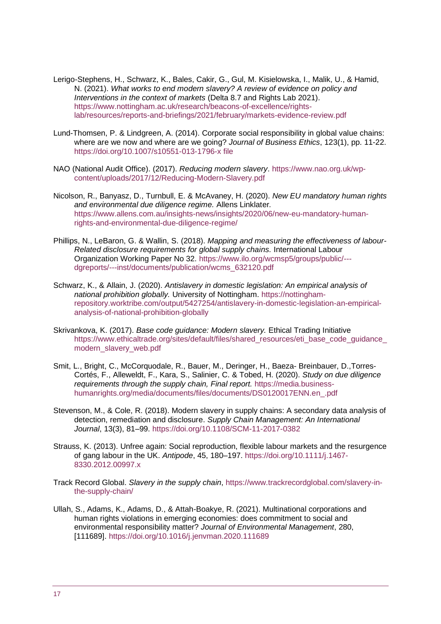- Lerigo-Stephens, H., Schwarz, K., Bales, Cakir, G., Gul, M. Kisielowska, I., Malik, U., & Hamid, N. (2021). *What works to end modern slavery? A review of evidence on policy and Interventions in the context of markets* (Delta 8.7 and Rights Lab 2021). [https://www.nottingham.ac.uk/research/beacons-of-excellence/rights](https://www.nottingham.ac.uk/research/beacons-of-excellence/rights-lab/resources/reports-and-briefings/2021/february/markets-evidence-review.pdf)[lab/resources/reports-and-briefings/2021/february/markets-evidence-review.pdf](https://www.nottingham.ac.uk/research/beacons-of-excellence/rights-lab/resources/reports-and-briefings/2021/february/markets-evidence-review.pdf)
- Lund-Thomsen, P. & Lindgreen, A. (2014). Corporate social responsibility in global value chains: where are we now and where are we going? *Journal of Business Ethics*, 123(1), pp. 11-22. https://doi.org/10.1007/s10551-013-1796-x file
- NAO (National Audit Office). (2017). *Reducing modern slavery*. [https://www.nao.org.uk/wp](https://www.nao.org.uk/wp-content/uploads/2017/12/Reducing-Modern-Slavery.pdf)[content/uploads/2017/12/Reducing-Modern-Slavery.pdf](https://www.nao.org.uk/wp-content/uploads/2017/12/Reducing-Modern-Slavery.pdf)
- [Nicolson,](https://www.allens.com.au/people/n/rachel-nicolson/) R., [Banyasz,](https://www.allens.com.au/people/b/dora-banyasz/) D., Turnbull, E. & [McAvaney,](https://www.allens.com.au/people/m/hamish-mcavaney/) H. (2020). *New EU mandatory human rights and environmental due diligence regime.* Allens Linklater*.* [https://www.allens.com.au/insights-news/insights/2020/06/new-eu-mandatory-human](https://www.allens.com.au/insights-news/insights/2020/06/new-eu-mandatory-human-rights-and-environmental-due-diligence-regime/)[rights-and-environmental-due-diligence-regime/](https://www.allens.com.au/insights-news/insights/2020/06/new-eu-mandatory-human-rights-and-environmental-due-diligence-regime/)
- Phillips, N., LeBaron, G. & Wallin, S. (2018). *[Mapping and measuring the effectiveness of labour-](https://www.ilo.org/wcmsp5/groups/public/---dgreports/---inst/documents/publication/wcms_632120.pdf)[Related disclosure requirements for global supply chains.](https://www.ilo.org/wcmsp5/groups/public/---dgreports/---inst/documents/publication/wcms_632120.pdf)* International Labour Organization Working Paper No 32. [https://www.ilo.org/wcmsp5/groups/public/--](https://www.ilo.org/wcmsp5/groups/public/---dgreports/---inst/documents/publication/wcms_632120.pdf) [dgreports/---inst/documents/publication/wcms\\_632120.pdf](https://www.ilo.org/wcmsp5/groups/public/---dgreports/---inst/documents/publication/wcms_632120.pdf)
- Schwarz, K., & Allain, J. (2020). *Antislavery in domestic legislation: An empirical analysis of national prohibition globally.* University of Nottingham. [https://nottingham](https://nottingham-repository.worktribe.com/output/5427254/antislavery-in-domestic-legislation-an-empirical-analysis-of-national-prohibition-globally)[repository.worktribe.com/output/5427254/antislavery-in-domestic-legislation-an-empirical](https://nottingham-repository.worktribe.com/output/5427254/antislavery-in-domestic-legislation-an-empirical-analysis-of-national-prohibition-globally)[analysis-of-national-prohibition-globally](https://nottingham-repository.worktribe.com/output/5427254/antislavery-in-domestic-legislation-an-empirical-analysis-of-national-prohibition-globally)
- Skrivankova, K. (2017). *Base code guidance: Modern slavery.* Ethical Trading Initiative [https://www.ethicaltrade.org/sites/default/files/shared\\_resources/eti\\_base\\_code\\_guidance\\_](https://www.ethicaltrade.org/sites/default/files/shared_resources/eti_base_code_guidance_modern_slavery_web.pdf) modern\_slavery\_web.pdf
- Smit, L., Bright, C., McCorquodale, R., Bauer, M., Deringer, H., Baeza- Breinbauer, D.,Torres-Cortés, F., Alleweldt, F., Kara, S., Salinier, C. & Tobed, H. (2020). *Study on due diligence requirements through the supply chain, Final report.* [https://media.business](https://media.business-humanrights.org/media/documents/files/documents/DS0120017ENN.en_.pdf)[humanrights.org/media/documents/files/documents/DS0120017ENN.en\\_.pdf](https://media.business-humanrights.org/media/documents/files/documents/DS0120017ENN.en_.pdf)
- Stevenson, M., & Cole, R. (2018). Modern slavery in supply chains: A secondary data analysis of detection, remediation and disclosure. *Supply Chain Management: An International Journal*, 13(3), 81–99. <https://doi.org/10.1108/SCM-11-2017-0382>
- Strauss, K. (2013). Unfree again: Social reproduction, flexible labour markets and the resurgence of gang labour in the UK. *Antipode*, 45, 180–197. [https://doi.org/10.1111/j.1467-](https://doi.org/10.1111/j.1467-8330.2012.00997.x) [8330.2012.00997.x](https://doi.org/10.1111/j.1467-8330.2012.00997.x)
- Track Record Global. *Slavery in the supply chain*, [https://www.trackrecordglobal.com/slavery-in](https://www.trackrecordglobal.com/slavery-in-the-supply-chain/)[the-supply-chain/](https://www.trackrecordglobal.com/slavery-in-the-supply-chain/)
- Ullah, S., Adams, K., Adams, D., & Attah-Boakye, R. (2021). Multinational corporations and human rights violations in emerging economies: does commitment to social and environmental responsibility matter? *Journal of Environmental Management*, 280, [111689]. https://doi.org/10.1016/j.jenvman.2020.111689